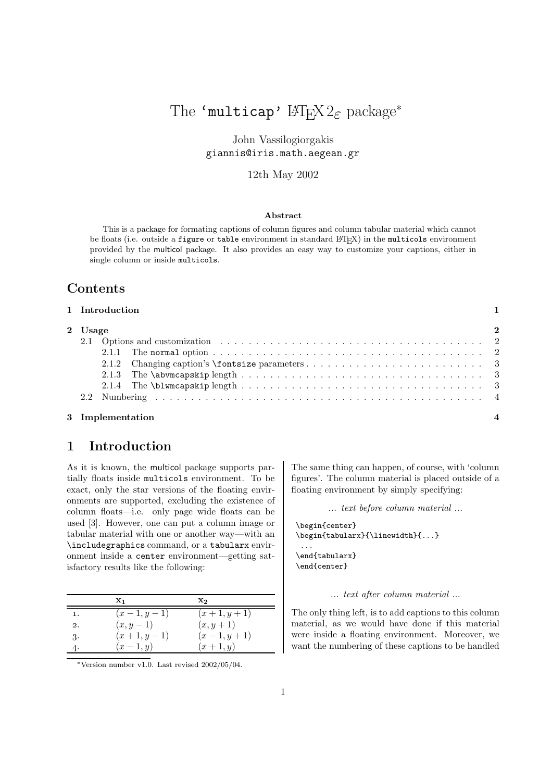# The 'multicap'  $\text{LATEX } 2_{\mathcal{E}} \text{ package*}$ <br>John Vassilogiorgakis

John Vassilogio<br>John Vassilogiorga giannis@iris.math.aegean.gr

# 12th May 2002

#### **Abstract**

This is a package for formating captions of column figures and column tabular material which cannot be floats (i.e. outside a figure or table environment in standard LAT<sub>EX</sub>) in the multicols environment provided by the multicol package. It also provides an easy way to customize your captions, either in single column or inside multicols.

# **Contents**

| 1 Introduction |  |
|----------------|--|
|----------------|--|

| 2 Usage |  |
|---------|--|
|         |  |
|         |  |
|         |  |
|         |  |
|         |  |
|         |  |

# **1 Introduction**

As it is known, the multicol package supports partially floats inside multicols environment. To be exact, only the star versions of the floating environments are supported, excluding the existence of column floats—i.e. only page wide floats can be used [3]. However, one can put a column image or tabular material with one or another way—with an \includegraphics command, or a tabularx environment inside a center environment—getting satisfactory results like the following:

|    | $\mathbf{x}_1$ | $\mathbf{x}_2$ |
|----|----------------|----------------|
| 1. | $(x-1, y-1)$   | $(x+1, y+1)$   |
| 2. | $(x,y-1)$      | $(x, y + 1)$   |
| 3. | $(x+1, y-1)$   | $(x-1, y+1)$   |
|    | $(x-1, y)$     | $(x+1, y)$     |

∗Version number v1.0. Last revised 2002/05/04.

The same thing can happen, of course, with 'column figures'. The column material is placed outside of a floating environment by simply specifying:

*... text before column material ...*

```
\begin{center}
\begin{tabularx}{\linewidth}{...}
 ...
\end{tabularx}
\end{center}
```
#### *... text after column material ...*

The only thing left, is to add captions to this column material, as we would have done if this material were inside a floating environment. Moreover, we want the numbering of these captions to be handled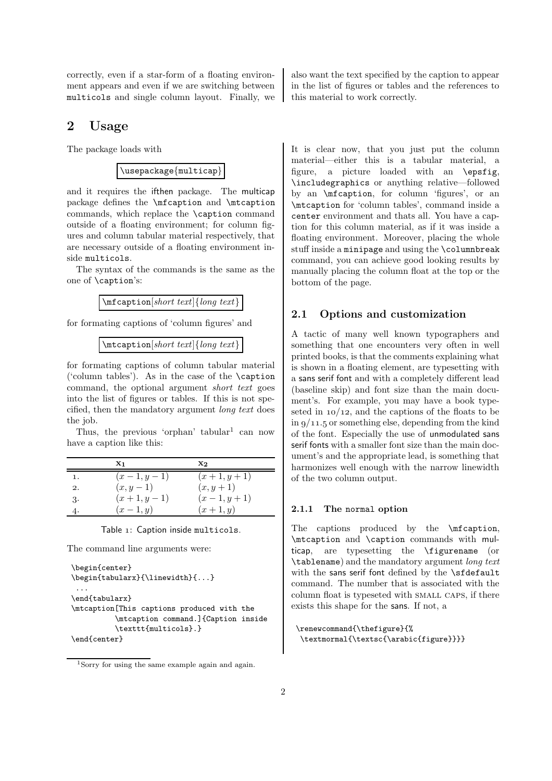correctly, even if a star-form of a floating environment appears and even if we are switching between multicols and single column layout. Finally, we

# **2 Usage**

The package loads with

\usepackage{multicap}

and it requires the ifthen package. The multicap package defines the \mfcaption and \mtcaption commands, which replace the \caption command outside of a floating environment; for column figures and column tabular material respectively, that are necessary outside of a floating environment inside multicols.

The syntax of the commands is the same as the one of \caption's:

\mfcaption[*short text*]{*long text*}

for formating captions of 'column figures' and

```
\mtcaption[short text]{long text}
```
for formating captions of column tabular material ('column tables'). As in the case of the \caption command, the optional argument *short text* goes into the list of figures or tables. If this is not specified, then the mandatory argument *long text* does the job.

Thus, the previous 'orphan' tabular<sup>1</sup> can now have a caption like this:

|    | X <sub>1</sub> | $\mathbf{x}_2$ |
|----|----------------|----------------|
| 1. | $(x-1, y-1)$   | $(x+1, y+1)$   |
| 2. | $(x, y - 1)$   | $(x, y + 1)$   |
| 3. | $(x+1, y-1)$   | $(x-1, y+1)$   |
| 4. | $(x-1,y)$      | $(x+1, y)$     |

Table 1: Caption inside multicols.

The command line arguments were:

```
\begin{center}
\begin{tabularx}{\linewidth}{...}
...
\end{tabularx}
\mtcaption[This captions produced with the
          \mtcaption command.]{Caption inside
          \texttt{multicols}.}
\end{center}
```
also want the text specified by the caption to appear in the list of figures or tables and the references to this material to work correctly.

It is clear now, that you just put the column material—either this is a tabular material, a figure, a picture loaded with an \epsfig, \includegraphics or anything relative—followed by an \mfcaption, for column 'figures', or an \mtcaption for 'column tables', command inside a center environment and thats all. You have a caption for this column material, as if it was inside a floating environment. Moreover, placing the whole stuff inside a minipage and using the \columnbreak command, you can achieve good looking results by manually placing the column float at the top or the bottom of the page.

#### **2.1 Options and customization**

A tactic of many well known typographers and something that one encounters very often in well printed books, is that the comments explaining what is shown in a floating element, are typesetting with a sans serif font and with a completely different lead (baseline skip) and font size than the main document's. For example, you may have a book typeseted in  $10/12$ , and the captions of the floats to be in  $9/11.5$  or something else, depending from the kind of the font. Especially the use of unmodulated sans serif fonts with a smaller font size than the main document's and the appropriate lead, is something that harmonizes well enough with the narrow linewidth of the two column output.

#### **2.1.1 The** normal **option**

The captions produced by the **\mfcaption**, \mtcaption and \caption commands with multicap, are typesetting the \figurename (or \tablename) and the mandatory argument *long text* with the sans serif font defined by the **\sfdefault** command. The number that is associated with the column float is typeseted with small caps, if there exists this shape for the sans. If not, a

```
\renewcommand{\thefigure}{%
\textmormal{\textsc{\arabic{figure}}}}
```
<sup>1</sup>Sorry for using the same example again and again.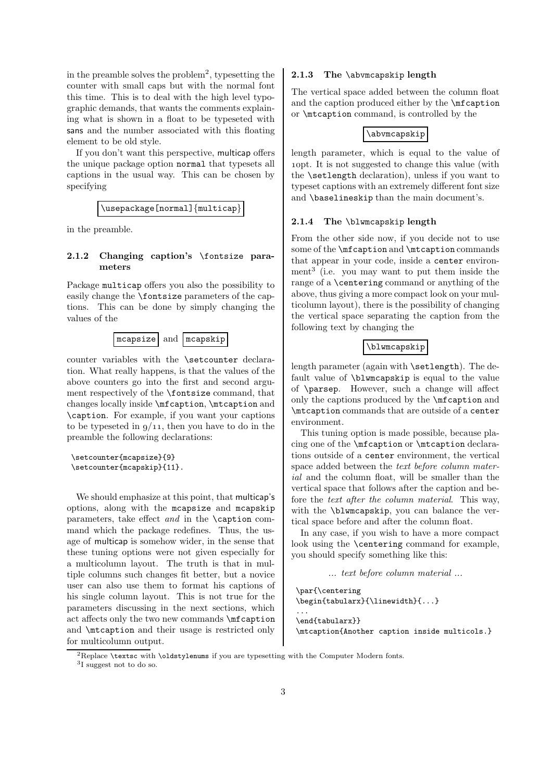in the preamble solves the problem<sup>2</sup>, typesetting the counter with small caps but with the normal font this time. This is to deal with the high level typographic demands, that wants the comments explaining what is shown in a float to be typeseted with sans and the number associated with this floating element to be old style.

If you don't want this perspective, multicap offers the unique package option normal that typesets all captions in the usual way. This can be chosen by specifying

\usepackage[normal]{multicap}

in the preamble.

#### **2.1.2 Changing caption's** \fontsize **parameters**

Package multicap offers you also the possibility to easily change the \fontsize parameters of the captions. This can be done by simply changing the values of the



counter variables with the \setcounter declaration. What really happens, is that the values of the above counters go into the first and second argument respectively of the \fontsize command, that changes locally inside \mfcaption, \mtcaption and \caption. For example, if you want your captions to be typeseted in  $9/11$ , then you have to do in the preamble the following declarations:

```
\setcounter{mcapsize}{9}
\setcounter{mcapskip}{11}.
```
We should emphasize at this point, that multicap's options, along with the mcapsize and mcapskip parameters, take effect *and* in the \caption command which the package redefines. Thus, the usage of multicap is somehow wider, in the sense that these tuning options were not given especially for a multicolumn layout. The truth is that in multiple columns such changes fit better, but a novice user can also use them to format his captions of his single column layout. This is not true for the parameters discussing in the next sections, which act affects only the two new commands \mfcaption and \mtcaption and their usage is restricted only for multicolumn output.

#### **2.1.3 The** \abvmcapskip **length**

The vertical space added between the column float and the caption produced either by the \mfcaption or \mtcaption command, is controlled by the

#### \abvmcapskip

length parameter, which is equal to the value of 10pt. It is not suggested to change this value (with the \setlength declaration), unless if you want to typeset captions with an extremely different font size and \baselineskip than the main document's.

#### **2.1.4 The** \blwmcapskip **length**

From the other side now, if you decide not to use some of the **\mfcaption** and **\mtcaption** commands that appear in your code, inside a center environment<sup>3</sup> (i.e. you may want to put them inside the range of a \centering command or anything of the above, thus giving a more compact look on your multicolumn layout), there is the possibility of changing the vertical space separating the caption from the following text by changing the

#### \blwmcapskip

length parameter (again with \setlength). The default value of \blwmcapskip is equal to the value of \parsep. However, such a change will affect only the captions produced by the \mfcaption and \mtcaption commands that are outside of a center environment.

This tuning option is made possible, because placing one of the \mfcaption or \mtcaption declarations outside of a center environment, the vertical space added between the *text before column material* and the column float, will be smaller than the vertical space that follows after the caption and before the *text after the column material*. This way, with the \blwmcapskip, you can balance the vertical space before and after the column float.

In any case, if you wish to have a more compact look using the \centering command for example, you should specify something like this:

```
... text before column material ...
```

```
\par{\centering
\begin{tabularx}{\linewidth}{...}
...
\end{tabularx}}
\mtcaption{Another caption inside multicols.}
```
 ${}^{2}$ Replace **\textsc** with **\oldstylenums** if you are typesetting with the Computer Modern fonts.

<sup>3</sup>I suggest not to do so.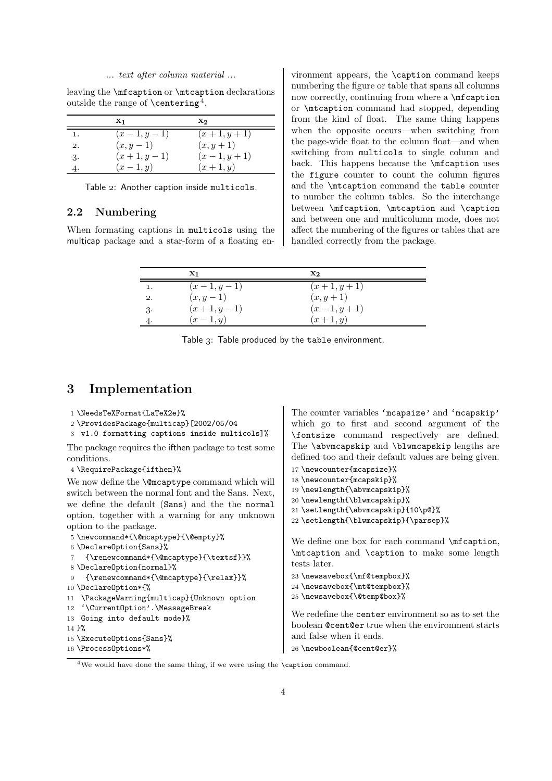#### *... text after column material ...*

leaving the \mfcaption or \mtcaption declarations outside the range of  $\centerdot$  centering<sup>4</sup>.

|    | $\mathbf{x}_1$ | $\mathbf{x}_2$ |
|----|----------------|----------------|
| 1. | $(x-1, y-1)$   | $(x+1, y+1)$   |
| 2. | $(x,y-1)$      | $(x, y + 1)$   |
| 3. | $(x+1, y-1)$   | $(x-1, y+1)$   |
| 4. | $(x-1,y)$      | $(x+1, y)$     |

Table 2: Another caption inside multicols.

#### **2.2 Numbering**

When formating captions in multicols using the multicap package and a star-form of a floating en-

vironment appears, the \caption command keeps numbering the figure or table that spans all columns now correctly, continuing from where a \mfcaption or \mtcaption command had stopped, depending from the kind of float. The same thing happens when the opposite occurs—when switching from the page-wide float to the column float—and when switching from multicols to single column and back. This happens because the \mfcaption uses the figure counter to count the column figures and the \mtcaption command the table counter to number the column tables. So the interchange between \mfcaption, \mtcaption and \caption and between one and multicolumn mode, does not affect the numbering of the figures or tables that are handled correctly from the package.

|    | $\mathbf{x}_1$ | $\mathbf{x}_2$ |
|----|----------------|----------------|
| 1. | $(x-1, y-1)$   | $(x+1, y+1)$   |
| 2. | $(x, y-1)$     | $(x, y + 1)$   |
| 3. | $(x+1, y-1)$   | $(x-1, y+1)$   |
| 4. | $(x-1, y)$     | $(x+1, y)$     |

Table 3: Table produced by the table environment.

# **3 Implementation**

```
1 \NeedsTeXFormat{LaTeX2e}%
2 \ProvidesPackage{multicap}[2002/05/04
3 v1.0 formatting captions inside multicols]%
The package requires the ifthen package to test some
conditions.
4 \RequirePackage{ifthen}%
We now define the \@mcaptype command which will
switch between the normal font and the Sans. Next,
we define the default (Sans) and the the normal
option, together with a warning for any unknown
option to the package.
5 \newcommand*{\@mcaptype}{\@empty}%
6 \DeclareOption{Sans}%
    7 {\renewcommand*{\@mcaptype}{\textsf}}%
8 \DeclareOption{normal}%
9 {\renewcommand*{\@mcaptype}{\relax}}%
10 \DeclareOption*{%
11 \PackageWarning{multicap}{Unknown option
12 '\CurrentOption'.\MessageBreak
13 Going into default mode}%
14 3%15 \ExecuteOptions{Sans}%
16 \ProcessOptions*%
                                                     The counter variables 'mcapsize' and 'mcapskip'
                                                     which go to first and second argument of the
                                                     \fontsize command respectively are defined.
                                                    The \abvmcapskip and \blwmcapskip lengths are
                                                    defined too and their default values are being given.
                                                     17 \newcounter{mcapsize}%
                                                     18 \newcounter{mcapskip}%
                                                     19 \newlength{\abvmcapskip}%
                                                     20 \newlength{\blwmcapskip}%
                                                     21 \setlength{\abvmcapskip}{10\p@}%
                                                     22 \setlength{\blwmcapskip}{\parsep}%
                                                     We define one box for each command \mfcaption,
                                                     \mtcaption and \caption to make some length
                                                     tests later.
                                                    23 \newsavebox{\mf@tempbox}%
                                                    24 \newsavebox{\mt@tempbox}%
                                                     25 \newsavebox{\@temp@box}%
                                                     We redefine the center environment so as to set the
                                                     boolean @cent@er true when the environment starts
                                                    and false when it ends.
                                                    26 \newboolean{@cent@er}%
```
 $4$ We would have done the same thing, if we were using the **\caption** command.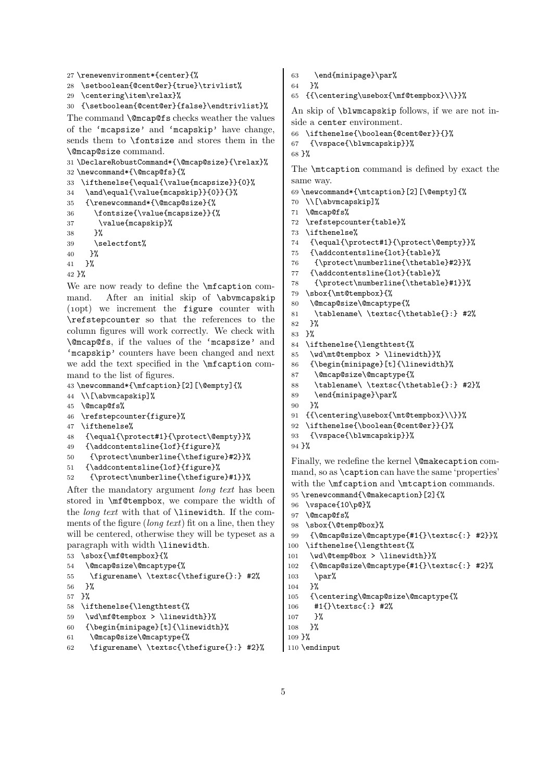```
27 \renewenvironment*{center}{%
```

```
28 \setboolean{@cent@er}{true}\trivlist%
```

```
29 \centering\item\relax}%
```
{\setboolean{@cent@er}{false}\endtrivlist}%

The command  $\@$ mcap@fs checks weather the values of the 'mcapsize' and 'mcapskip' have change, sends them to \fontsize and stores them in the \@mcap@size command.

```
31 \DeclareRobustCommand*{\@mcap@size}{\relax}%
32 \newcommand*{\@mcap@fs}{%
33 \ifthenelse{\equal{\value{mcapsize}}{0}%
34 \and\equal{\value{mcapskip}}{0}}{}%
35 {\renewcommand*{\@mcap@size}{%
36 \fontsize{\value{mcapsize}}{%
37 \value{mcapskip}%
38 }%
39 \selectfont%
40 }%
41 }%
42 }%
We are now ready to define the \mfcaption com-
```
mand. After an initial skip of \abvmcapskip (10pt) we increment the figure counter with \refstepcounter so that the references to the column figures will work correctly. We check with \@mcap@fs, if the values of the 'mcapsize' and 'mcapskip' counters have been changed and next we add the text specified in the \mfcaption command to the list of figures.

\newcommand\*{\mfcaption}[2][\@empty]{%

```
44 \\[\abvmcapskip]%
```

```
45 \@mcap@fs%
```

```
46 \refstepcounter{figure}%
```

```
47 \ifthenelse%
```
- {\equal{\protect#1}{\protect\@empty}}%
- {\addcontentsline{lof}{figure}%

```
50 {\protect\numberline{\thefigure}#2}}%
```

```
51 {\addcontentsline{lof}{figure}%
```

```
52 {\protect\numberline{\thefigure}#1}}%
```
After the mandatory argument *long text* has been stored in \mf@tempbox, we compare the width of the *long text* with that of \linewidth. If the comments of the figure (*long text*) fit on a line, then they will be centered, otherwise they will be typeset as a paragraph with width \linewidth.

```
53 \sbox{\mf@tempbox}{%
```

```
54 \@mcap@size\@mcaptype{%
```

```
55 \figurename\ \textsc{\thefigure{}:} #2%
```

```
56 }%
```

```
57 }%
```

```
58 \ifthenelse{\lengthtest{%
```

```
59 \wd\mf@tempbox > \linewidth}}%
```

```
60 {\begin{minipage}[t]{\linewidth}%
```

```
61 \@mcap@size\@mcaptype{%
```

```
62 \figurename\ \textsc{\thefigure{}:} #2}%
```
\end{minipage}\par%

```
64 }%
```
{{\centering\usebox{\mf@tempbox}\\}}%

An skip of \blwmcapskip follows, if we are not inside a center environment.

```
66 \ifthenelse{\boolean{@cent@er}}{}%
```

```
67 {\vspace{\blwmcapskip}}%
```

```
68 }%
```
The \mtcaption command is defined by exact the same way.

```
69 \newcommand*{\mtcaption}[2][\@empty]{%
```

```
70 \\[\abvmcapskip]%
```

```
71 \@mcap@fs%
```
- \refstepcounter{table}%
- \ifthenelse%
- {\equal{\protect#1}{\protect\@empty}}%
- {\addcontentsline{lot}{table}%
- {\protect\numberline{\thetable}#2}}%
- {\addcontentsline{lot}{table}%

```
78 {\protect\numberline{\thetable}#1}}%
```

```
79 \sbox{\mt@tempbox}{%
```

```
80 \@mcap@size\@mcaptype{%
```
\tablename\ \textsc{\thetable{}:} #2%

```
82 \frac{19}{2}
```

```
83 }%
```

```
84 \ifthenelse{\lengthtest{%
```

```
85 \wd\mt@tempbox > \linewidth}}%
```

```
86 {\begin{minipage}[t]{\linewidth}%
```

```
87 \@mcap@size\@mcaptype{%
```

```
88 \tablename\ \textsc{\thetable{}:} #2}%
```

```
89 \end{minipage}\par%
```

```
90 }%
```

```
91 {{\centering\usebox{\mt@tempbox}\\}}%
```

```
92 \ifthenelse{\boolean{@cent@er}}{}%
```

```
93 {\vspace{\blwmcapskip}}%
```

```
94 }%
```
Finally, we redefine the kernel **\@makecaption** command, so as \caption can have the same 'properties' with the **\mfcaption** and **\mtcaption** commands.

```
95 \renewcommand{\@makecaption}[2]{%
```

```
96 \vspace{10\p@}%
```

```
97 \@mcap@fs%
```
\sbox{\@temp@box}%

```
99 {\@mcap@size\@mcaptype{#1{}\textsc{:} #2}}%
```

```
100 \ifthenelse{\lengthtest{%
```

```
101 \wd\@temp@box > \linewidth}}%
```

```
102 {\@mcap@size\@mcaptype{#1{}\textsc{:} #2}%
```

```
103 \par%
```

```
104 }%
```

```
105 {\centering\@mcap@size\@mcaptype{%
```

```
106 #1{}\textsc{:} #2%
```

```
107 }%
```

```
108 }%
```

```
109 }%
110 \endinput
```

```
5
```